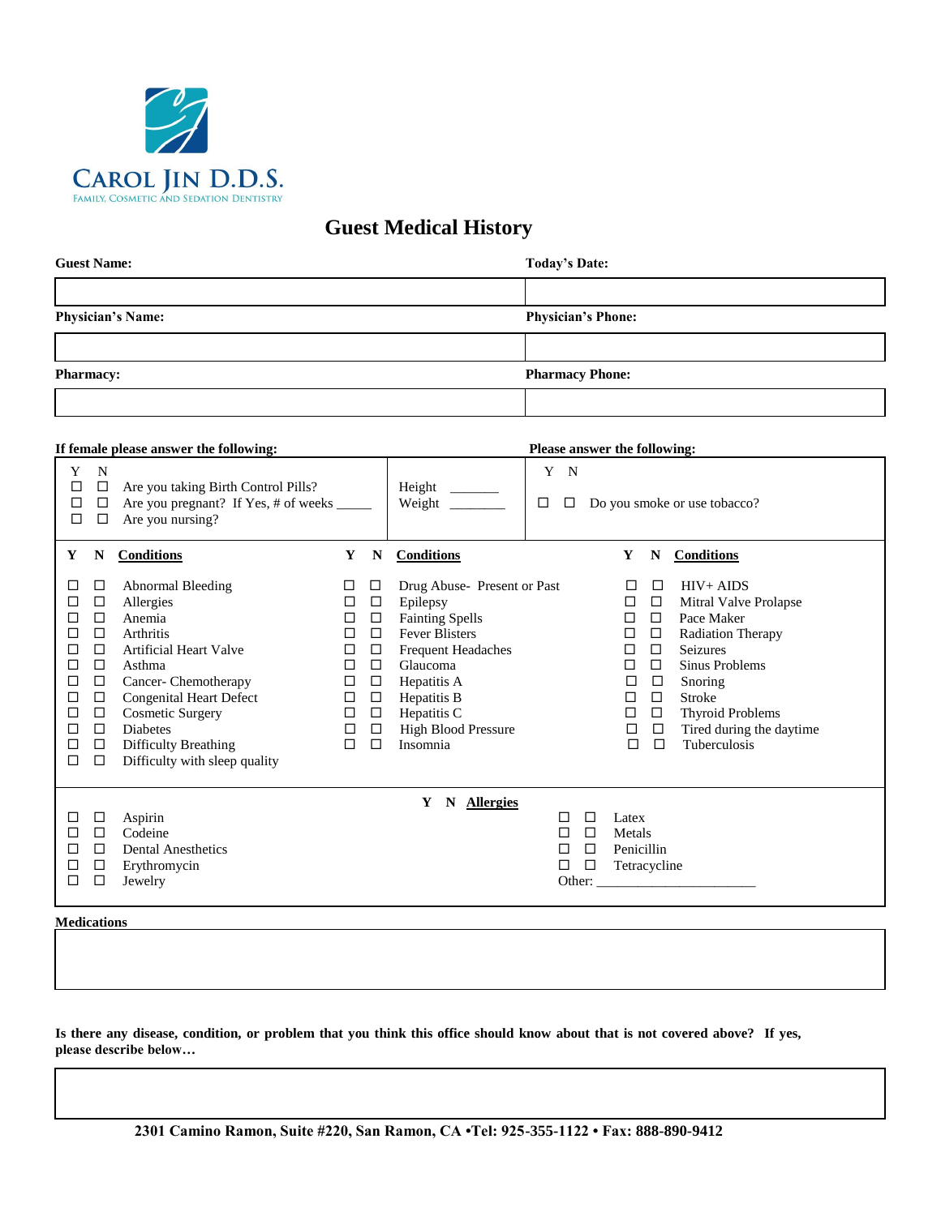

## **Guest Medical History**

| <b>Guest Name:</b>       | <b>Today's Date:</b>      |  |  |  |
|--------------------------|---------------------------|--|--|--|
|                          |                           |  |  |  |
| <b>Physician's Name:</b> | <b>Physician's Phone:</b> |  |  |  |
|                          |                           |  |  |  |
| <b>Pharmacy:</b>         | <b>Pharmacy Phone:</b>    |  |  |  |
|                          |                           |  |  |  |

| If female please answer the following:                                                                                                                                                                                                                                                                                                                                                                                                       |                                                                                                                                                    |                                                                                                                                                                                                                            |                                                     | <b>Please answer the following:</b>                                                                                                                                                                                                                                                                                                                                                           |  |  |
|----------------------------------------------------------------------------------------------------------------------------------------------------------------------------------------------------------------------------------------------------------------------------------------------------------------------------------------------------------------------------------------------------------------------------------------------|----------------------------------------------------------------------------------------------------------------------------------------------------|----------------------------------------------------------------------------------------------------------------------------------------------------------------------------------------------------------------------------|-----------------------------------------------------|-----------------------------------------------------------------------------------------------------------------------------------------------------------------------------------------------------------------------------------------------------------------------------------------------------------------------------------------------------------------------------------------------|--|--|
| Y<br>$\mathbf N$<br>$\Box$<br>Are you taking Birth Control Pills?<br>$\Box$<br>□<br>Are you pregnant? If Yes, # of weeks _____<br>$\Box$<br>Are you nursing?<br>$\Box$<br>□                                                                                                                                                                                                                                                                  |                                                                                                                                                    | Height $\qquad$<br>Weight $\frac{1}{\sqrt{1-\frac{1}{2}}\sqrt{1-\frac{1}{2}}\left\vert \frac{1}{2}+1\right\vert }$                                                                                                         | Y N<br>□<br>$\Box$                                  | Do you smoke or use tobacco?                                                                                                                                                                                                                                                                                                                                                                  |  |  |
| <b>Conditions</b><br>Y<br>N                                                                                                                                                                                                                                                                                                                                                                                                                  | Y<br>N                                                                                                                                             | <b>Conditions</b>                                                                                                                                                                                                          |                                                     | Y<br>N<br><b>Conditions</b>                                                                                                                                                                                                                                                                                                                                                                   |  |  |
| Abnormal Bleeding<br>□<br>□<br>Allergies<br>□<br>□<br>$\Box$<br>Anemia<br>□<br>$\Box$<br><b>Arthritis</b><br>□<br><b>Artificial Heart Valve</b><br>$\Box$<br>□<br>$\Box$<br>Asthma<br>□<br>Cancer-Chemotherapy<br>$\Box$<br>□<br>$\Box$<br><b>Congenital Heart Defect</b><br>□<br><b>Cosmetic Surgery</b><br>□<br>$\Box$<br><b>Diabetes</b><br>$\Box$<br>□<br>□<br>Difficulty Breathing<br>□<br>Difficulty with sleep quality<br>$\Box$<br>□ | □<br>□<br>$\Box$<br>□<br>□<br>□<br>$\Box$<br>□<br>□<br>$\Box$<br>$\Box$<br>□<br>◻<br>□<br>$\Box$<br>□<br>$\Box$<br>□<br>$\Box$<br>□<br>$\Box$<br>□ | Drug Abuse- Present or Past<br>Epilepsy<br><b>Fainting Spells</b><br><b>Fever Blisters</b><br><b>Frequent Headaches</b><br>Glaucoma<br>Hepatitis A<br>Hepatitis B<br>Hepatitis C<br><b>High Blood Pressure</b><br>Insomnia |                                                     | $HIV+AIDS$<br>$\Box$<br>□<br>Mitral Valve Prolapse<br>□<br>□<br>□<br>Pace Maker<br>□<br>$\Box$<br>$\Box$<br><b>Radiation Therapy</b><br>Seizures<br>$\Box$<br>□<br>$\Box$<br>Sinus Problems<br>□<br>$\Box$<br>Snoring<br>□<br>$\Box$<br>$\Box$<br><b>Stroke</b><br>$\Box$<br><b>Thyroid Problems</b><br>□<br>Tired during the daytime<br>$\Box$<br>$\Box$<br>Tuberculosis<br>$\Box$<br>$\Box$ |  |  |
| $\Box$<br>Aspirin<br>□<br>$\Box$<br>Codeine<br>□<br><b>Dental Anesthetics</b><br>□<br>□<br>□<br>Erythromycin<br>□<br>$\Box$<br>□<br>Jewelry                                                                                                                                                                                                                                                                                                  |                                                                                                                                                    | N Allergies<br>Y                                                                                                                                                                                                           | □<br>□<br>$\Box$<br>□<br>□<br>$\Box$<br>□<br>$\Box$ | Latex<br>Metals<br>Penicillin<br>Tetracycline                                                                                                                                                                                                                                                                                                                                                 |  |  |
| <b>Medications</b>                                                                                                                                                                                                                                                                                                                                                                                                                           |                                                                                                                                                    |                                                                                                                                                                                                                            |                                                     |                                                                                                                                                                                                                                                                                                                                                                                               |  |  |

Is there any disease, condition, or problem that you think this office should know about that is not covered above? If yes, **please describe below…**

 $\mathcal{L}=\{1,2,3,4,5\}$